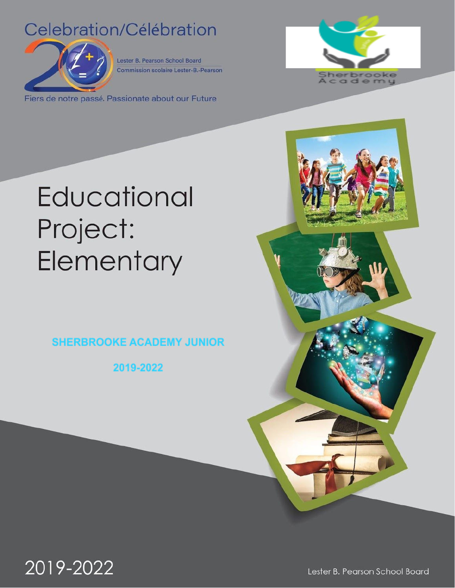## Celebration/Célébration



Lester B. Pearson School Board **Commission scolaire Lester-B.-Pearson** 

Fiers de notre passé. Passionate about our Future



# Educational Project: Elementary

**SHERBROOKE ACADEMY JUNIOR** 

2019-2022



Lester B. Pearson School Board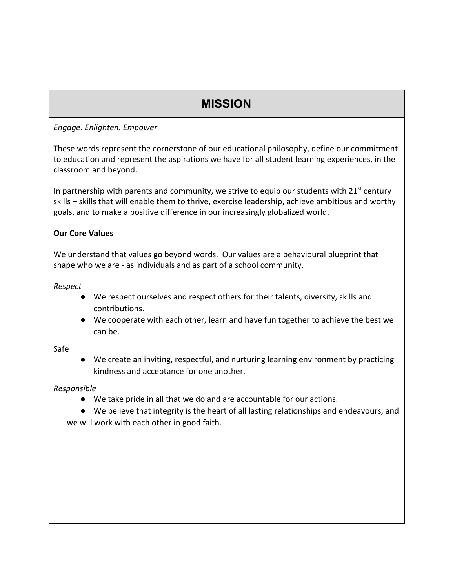### **MISSION**

*Engage. Enlighten. Empower*

These words represent the cornerstone of our educational philosophy, define our commitment to education and represent the aspirations we have for all student learning experiences, in the classroom and beyond.

In partnership with parents and community, we strive to equip our students with 21<sup>st</sup> century skills – skills that will enable them to thrive, exercise leadership, achieve ambitious and worthy goals, and to make a positive difference in our increasingly globalized world.

#### **Our Core Values**

We understand that values go beyond words. Our values are a behavioural blueprint that shape who we are - as individuals and as part of a school community.

*Respect*

- We respect ourselves and respect others for their talents, diversity, skills and contributions.
- We cooperate with each other, learn and have fun together to achieve the best we can be.

#### Safe

● We create an inviting, respectful, and nurturing learning environment by practicing kindness and acceptance for one another.

#### *Responsible*

● We take pride in all that we do and are accountable for our actions.

● We believe that integrity is the heart of all lasting relationships and endeavours, and we will work with each other in good faith.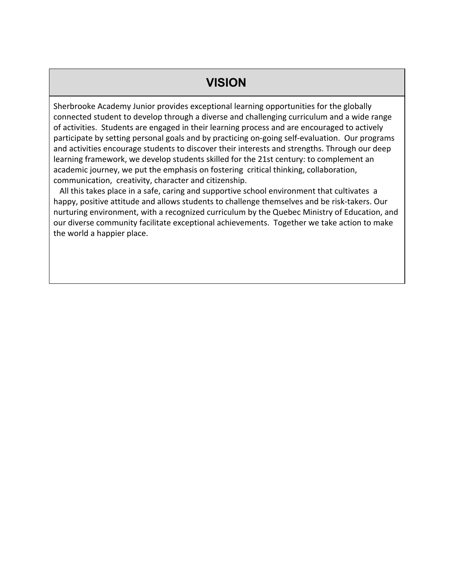#### **VISION**

Sherbrooke Academy Junior provides exceptional learning opportunities for the globally connected student to develop through a diverse and challenging curriculum and a wide range of activities. Students are engaged in their learning process and are encouraged to actively participate by setting personal goals and by practicing on-going self-evaluation. Our programs and activities encourage students to discover their interests and strengths. Through our deep learning framework, we develop students skilled for the 21st century: to complement an academic journey, we put the emphasis on fostering critical thinking, collaboration, communication, creativity, character and citizenship.

 All this takes place in a safe, caring and supportive school environment that cultivates a happy, positive attitude and allows students to challenge themselves and be risk-takers. Our nurturing environment, with a recognized curriculum by the Quebec Ministry of Education, and our diverse community facilitate exceptional achievements. Together we take action to make the world a happier place.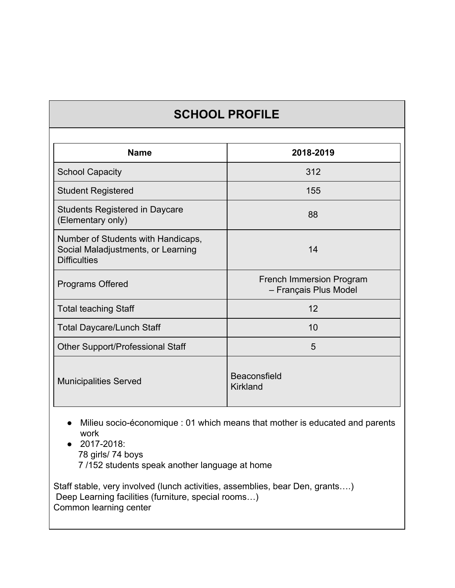### **SCHOOL PROFILE**

| <b>Name</b>                                                                                     | 2018-2019                                                |
|-------------------------------------------------------------------------------------------------|----------------------------------------------------------|
| <b>School Capacity</b>                                                                          | 312                                                      |
| <b>Student Registered</b>                                                                       | 155                                                      |
| <b>Students Registered in Daycare</b><br>(Elementary only)                                      | 88                                                       |
| Number of Students with Handicaps,<br>Social Maladjustments, or Learning<br><b>Difficulties</b> | 14                                                       |
| Programs Offered                                                                                | <b>French Immersion Program</b><br>- Français Plus Model |
| <b>Total teaching Staff</b>                                                                     | 12                                                       |
| Total Daycare/Lunch Staff                                                                       | 10                                                       |
| <b>Other Support/Professional Staff</b>                                                         | 5                                                        |
| <b>Municipalities Served</b>                                                                    | <b>Beaconsfield</b><br>Kirkland                          |

- Milieu socio-économique : 01 which means that mother is educated and parents work
- 2017-2018: 78 girls/ 74 boys 7 /152 students speak another language at home

Staff stable, very involved (lunch activities, assemblies, bear Den, grants….) Deep Learning facilities (furniture, special rooms…) Common learning center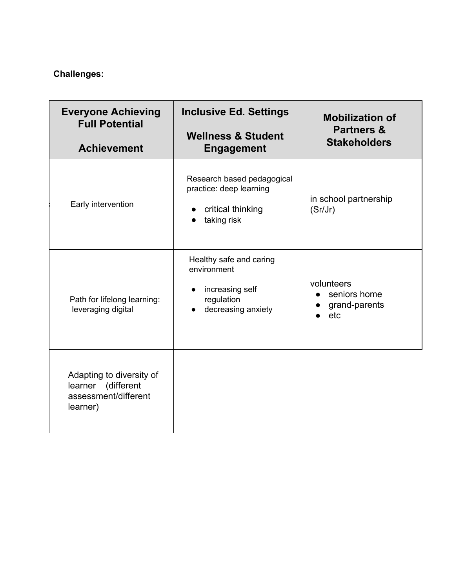#### **Challenges:**

| <b>Everyone Achieving</b><br><b>Full Potential</b><br><b>Achievement</b>              | <b>Inclusive Ed. Settings</b><br><b>Wellness &amp; Student</b><br><b>Engagement</b>           | <b>Mobilization of</b><br><b>Partners &amp;</b><br><b>Stakeholders</b> |
|---------------------------------------------------------------------------------------|-----------------------------------------------------------------------------------------------|------------------------------------------------------------------------|
|                                                                                       |                                                                                               |                                                                        |
| Early intervention                                                                    | Research based pedagogical<br>practice: deep learning<br>critical thinking<br>taking risk     | in school partnership<br>(Sr/Jr)                                       |
| Path for lifelong learning:<br>leveraging digital                                     | Healthy safe and caring<br>environment<br>increasing self<br>regulation<br>decreasing anxiety | volunteers<br>seniors home<br>grand-parents<br>etc                     |
| Adapting to diversity of<br>(different<br>learner<br>assessment/different<br>learner) |                                                                                               |                                                                        |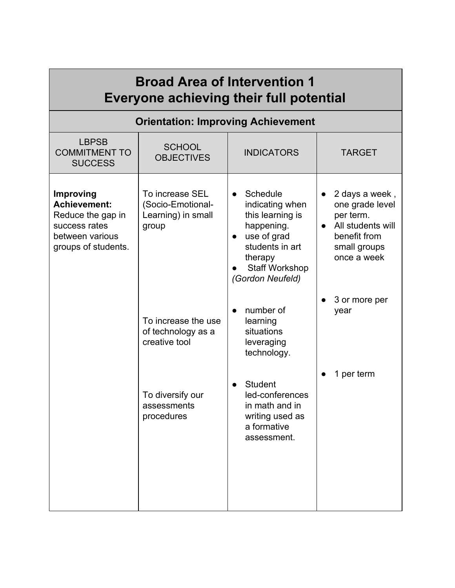| <b>Broad Area of Intervention 1</b><br>Everyone achieving their full potential                                   |                                                                                                                                                                                    |                                                                                                                                                                                                                                                                                                                                              |                                                                                                                                                                        |  |  |
|------------------------------------------------------------------------------------------------------------------|------------------------------------------------------------------------------------------------------------------------------------------------------------------------------------|----------------------------------------------------------------------------------------------------------------------------------------------------------------------------------------------------------------------------------------------------------------------------------------------------------------------------------------------|------------------------------------------------------------------------------------------------------------------------------------------------------------------------|--|--|
| <b>Orientation: Improving Achievement</b>                                                                        |                                                                                                                                                                                    |                                                                                                                                                                                                                                                                                                                                              |                                                                                                                                                                        |  |  |
| <b>LBPSB</b><br><b>COMMITMENT TO</b><br><b>SUCCESS</b>                                                           | <b>SCHOOL</b><br><b>OBJECTIVES</b>                                                                                                                                                 | <b>INDICATORS</b>                                                                                                                                                                                                                                                                                                                            | <b>TARGET</b>                                                                                                                                                          |  |  |
| Improving<br><b>Achievement:</b><br>Reduce the gap in<br>success rates<br>between various<br>groups of students. | To increase SEL<br>(Socio-Emotional-<br>Learning) in small<br>group<br>To increase the use<br>of technology as a<br>creative tool<br>To diversify our<br>assessments<br>procedures | Schedule<br>$\bullet$<br>indicating when<br>this learning is<br>happening.<br>use of grad<br>$\bullet$<br>students in art<br>therapy<br><b>Staff Workshop</b><br>(Gordon Neufeld)<br>number of<br>$\bullet$<br>learning<br>situations<br>leveraging<br>technology.<br><b>Student</b><br>led-conferences<br>in math and in<br>writing used as | 2 days a week,<br>one grade level<br>per term.<br>All students will<br>$\bullet$<br>benefit from<br>small groups<br>once a week<br>3 or more per<br>year<br>1 per term |  |  |
|                                                                                                                  |                                                                                                                                                                                    | a formative<br>assessment.                                                                                                                                                                                                                                                                                                                   |                                                                                                                                                                        |  |  |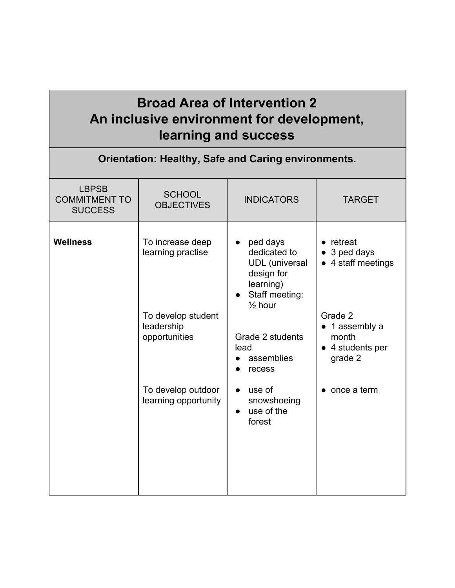## **Broad Area of Intervention 2 An inclusive environment for development, learning and success**

| <b>Orientation: Healthy, Safe and Caring environments.</b> |                                                                                            |                                                                                                                                                                                                    |                                                                                                                           |  |
|------------------------------------------------------------|--------------------------------------------------------------------------------------------|----------------------------------------------------------------------------------------------------------------------------------------------------------------------------------------------------|---------------------------------------------------------------------------------------------------------------------------|--|
| <b>LBPSB</b><br><b>COMMITMENT TO</b><br><b>SUCCESS</b>     | <b>SCHOOL</b><br><b>OBJECTIVES</b>                                                         | <b>INDICATORS</b>                                                                                                                                                                                  | <b>TARGET</b>                                                                                                             |  |
| <b>Wellness</b>                                            | To increase deep<br>learning practise<br>To develop student<br>leadership<br>opportunities | ped days<br>$\bullet$<br>dedicated to<br><b>UDL</b> (universal<br>design for<br>learning)<br>Staff meeting:<br>$\bullet$<br>$\frac{1}{2}$ hour<br>Grade 2 students<br>lead<br>assemblies<br>recess | retreat<br>$\bullet$<br>3 ped days<br>4 staff meetings<br>Grade 2<br>1 assembly a<br>month<br>• 4 students per<br>grade 2 |  |
|                                                            | To develop outdoor<br>learning opportunity                                                 | use of<br>$\bullet$<br>snowshoeing<br>use of the<br>$\bullet$<br>forest                                                                                                                            | $\bullet$ once a term                                                                                                     |  |